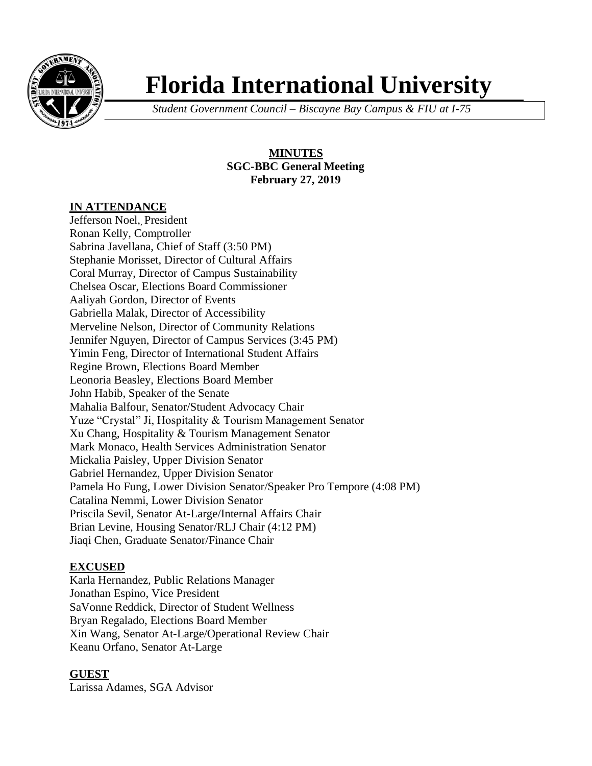

# **Florida International University**

*Student Government Council – Biscayne Bay Campus & FIU at I-75*

**MINUTES SGC-BBC General Meeting February 27, 2019**

## **IN ATTENDANCE**

Jefferson Noel, President Ronan Kelly, Comptroller Sabrina Javellana, Chief of Staff (3:50 PM) Stephanie Morisset, Director of Cultural Affairs Coral Murray, Director of Campus Sustainability Chelsea Oscar, Elections Board Commissioner Aaliyah Gordon, Director of Events Gabriella Malak, Director of Accessibility Merveline Nelson, Director of Community Relations Jennifer Nguyen, Director of Campus Services (3:45 PM) Yimin Feng, Director of International Student Affairs Regine Brown, Elections Board Member Leonoria Beasley, Elections Board Member John Habib, Speaker of the Senate Mahalia Balfour, Senator/Student Advocacy Chair Yuze "Crystal" Ji, Hospitality & Tourism Management Senator Xu Chang, Hospitality & Tourism Management Senator Mark Monaco, Health Services Administration Senator Mickalia Paisley, Upper Division Senator Gabriel Hernandez, Upper Division Senator Pamela Ho Fung, Lower Division Senator/Speaker Pro Tempore (4:08 PM) Catalina Nemmi, Lower Division Senator Priscila Sevil, Senator At-Large/Internal Affairs Chair Brian Levine, Housing Senator/RLJ Chair (4:12 PM) Jiaqi Chen, Graduate Senator/Finance Chair

# **EXCUSED**

Karla Hernandez, Public Relations Manager Jonathan Espino, Vice President SaVonne Reddick, Director of Student Wellness Bryan Regalado, Elections Board Member Xin Wang, Senator At-Large/Operational Review Chair Keanu Orfano, Senator At-Large

# **GUEST**

Larissa Adames, SGA Advisor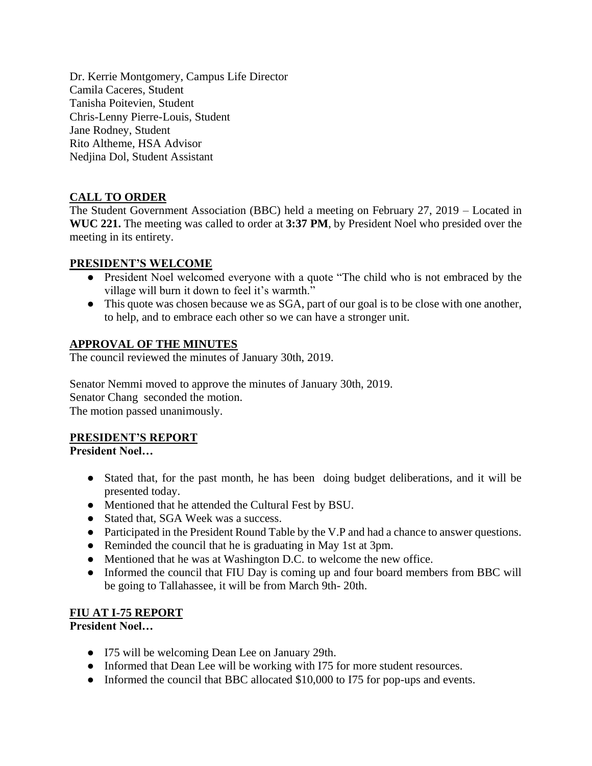Dr. Kerrie Montgomery, Campus Life Director Camila Caceres, Student Tanisha Poitevien, Student Chris-Lenny Pierre-Louis, Student Jane Rodney, Student Rito Altheme, HSA Advisor Nedjina Dol, Student Assistant

# **CALL TO ORDER**

The Student Government Association (BBC) held a meeting on February 27, 2019 – Located in **WUC 221.** The meeting was called to order at **3:37 PM**, by President Noel who presided over the meeting in its entirety.

## **PRESIDENT'S WELCOME**

- President Noel welcomed everyone with a quote "The child who is not embraced by the village will burn it down to feel it's warmth."
- This quote was chosen because we as SGA, part of our goal is to be close with one another, to help, and to embrace each other so we can have a stronger unit.

## **APPROVAL OF THE MINUTES**

The council reviewed the minutes of January 30th, 2019.

Senator Nemmi moved to approve the minutes of January 30th, 2019. Senator Chang seconded the motion. The motion passed unanimously.

# **PRESIDENT'S REPORT**

**President Noel…**

- Stated that, for the past month, he has been doing budget deliberations, and it will be presented today.
- Mentioned that he attended the Cultural Fest by BSU.
- Stated that, SGA Week was a success.
- Participated in the President Round Table by the V.P and had a chance to answer questions.
- Reminded the council that he is graduating in May 1st at 3pm.
- Mentioned that he was at Washington D.C. to welcome the new office.
- Informed the council that FIU Day is coming up and four board members from BBC will be going to Tallahassee, it will be from March 9th- 20th.

# **FIU AT I-75 REPORT**

**President Noel…**

- I75 will be welcoming Dean Lee on January 29th.
- Informed that Dean Lee will be working with I75 for more student resources.
- Informed the council that BBC allocated \$10,000 to I75 for pop-ups and events.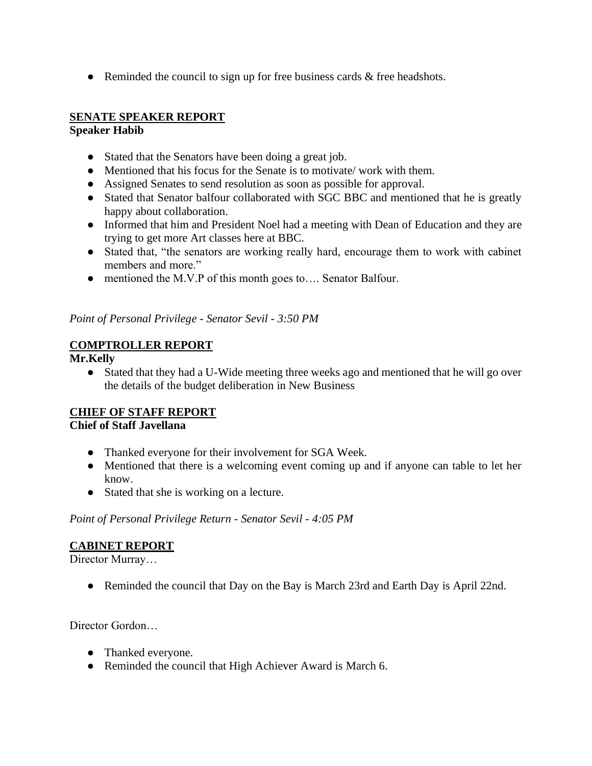• Reminded the council to sign up for free business cards & free headshots.

#### **SENATE SPEAKER REPORT Speaker Habib**

- Stated that the Senators have been doing a great job.
- Mentioned that his focus for the Senate is to motivate/work with them.
- Assigned Senates to send resolution as soon as possible for approval.
- Stated that Senator balfour collaborated with SGC BBC and mentioned that he is greatly happy about collaboration.
- Informed that him and President Noel had a meeting with Dean of Education and they are trying to get more Art classes here at BBC.
- Stated that, "the senators are working really hard, encourage them to work with cabinet members and more."
- mentioned the M.V.P of this month goes to…. Senator Balfour.

*Point of Personal Privilege - Senator Sevil - 3:50 PM*

# **COMPTROLLER REPORT**

## **Mr.Kelly**

● Stated that they had a U-Wide meeting three weeks ago and mentioned that he will go over the details of the budget deliberation in New Business

# **CHIEF OF STAFF REPORT**

#### **Chief of Staff Javellana**

- Thanked everyone for their involvement for SGA Week.
- Mentioned that there is a welcoming event coming up and if anyone can table to let her know.
- Stated that she is working on a lecture.

*Point of Personal Privilege Return - Senator Sevil - 4:05 PM*

# **CABINET REPORT**

Director Murray…

• Reminded the council that Day on the Bay is March 23rd and Earth Day is April 22nd.

Director Gordon…

- Thanked everyone.
- Reminded the council that High Achiever Award is March 6.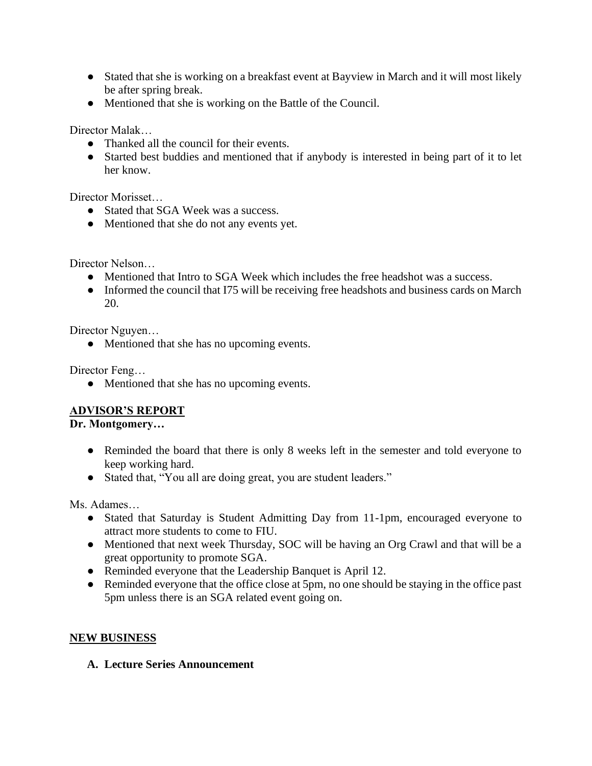- Stated that she is working on a breakfast event at Bayview in March and it will most likely be after spring break.
- Mentioned that she is working on the Battle of the Council.

Director Malak…

- Thanked all the council for their events.
- Started best buddies and mentioned that if anybody is interested in being part of it to let her know.

Director Morisset…

- Stated that SGA Week was a success.
- Mentioned that she do not any events yet.

Director Nelson…

- Mentioned that Intro to SGA Week which includes the free headshot was a success.
- Informed the council that I75 will be receiving free headshots and business cards on March 20.

Director Nguyen…

• Mentioned that she has no upcoming events.

Director Feng…

● Mentioned that she has no upcoming events.

# **ADVISOR'S REPORT**

#### **Dr. Montgomery…**

- Reminded the board that there is only 8 weeks left in the semester and told everyone to keep working hard.
- Stated that, "You all are doing great, you are student leaders."

Ms. Adames…

- Stated that Saturday is Student Admitting Day from 11-1pm, encouraged everyone to attract more students to come to FIU.
- Mentioned that next week Thursday, SOC will be having an Org Crawl and that will be a great opportunity to promote SGA.
- Reminded everyone that the Leadership Banquet is April 12.
- Reminded everyone that the office close at 5pm, no one should be staying in the office past 5pm unless there is an SGA related event going on.

# **NEW BUSINESS**

**A. Lecture Series Announcement**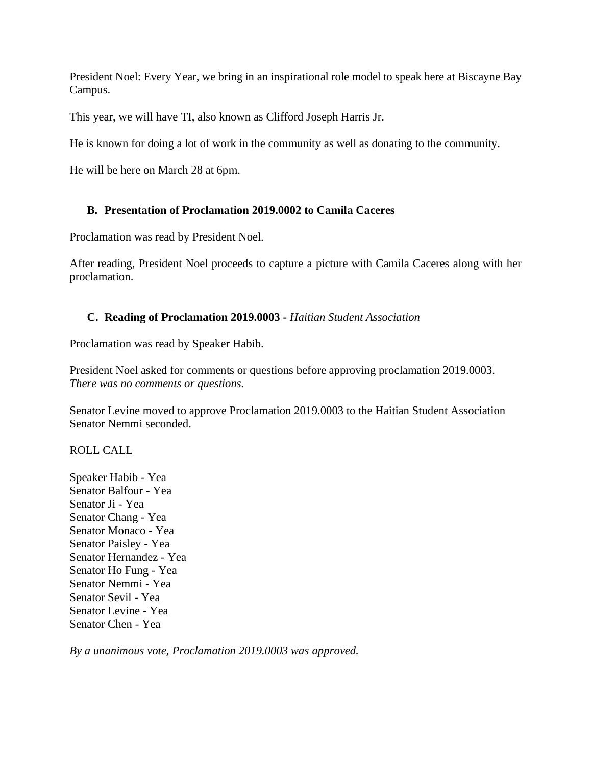President Noel: Every Year, we bring in an inspirational role model to speak here at Biscayne Bay Campus.

This year, we will have TI, also known as Clifford Joseph Harris Jr.

He is known for doing a lot of work in the community as well as donating to the community.

He will be here on March 28 at 6pm.

# **B. Presentation of Proclamation 2019.0002 to Camila Caceres**

Proclamation was read by President Noel.

After reading, President Noel proceeds to capture a picture with Camila Caceres along with her proclamation.

# **C. Reading of Proclamation 2019.0003 -** *Haitian Student Association*

Proclamation was read by Speaker Habib.

President Noel asked for comments or questions before approving proclamation 2019.0003. *There was no comments or questions.*

Senator Levine moved to approve Proclamation 2019.0003 to the Haitian Student Association Senator Nemmi seconded.

# ROLL CALL

Speaker Habib - Yea Senator Balfour - Yea Senator Ji - Yea Senator Chang - Yea Senator Monaco - Yea Senator Paisley - Yea Senator Hernandez - Yea Senator Ho Fung - Yea Senator Nemmi - Yea Senator Sevil - Yea Senator Levine - Yea Senator Chen - Yea

*By a unanimous vote, Proclamation 2019.0003 was approved.*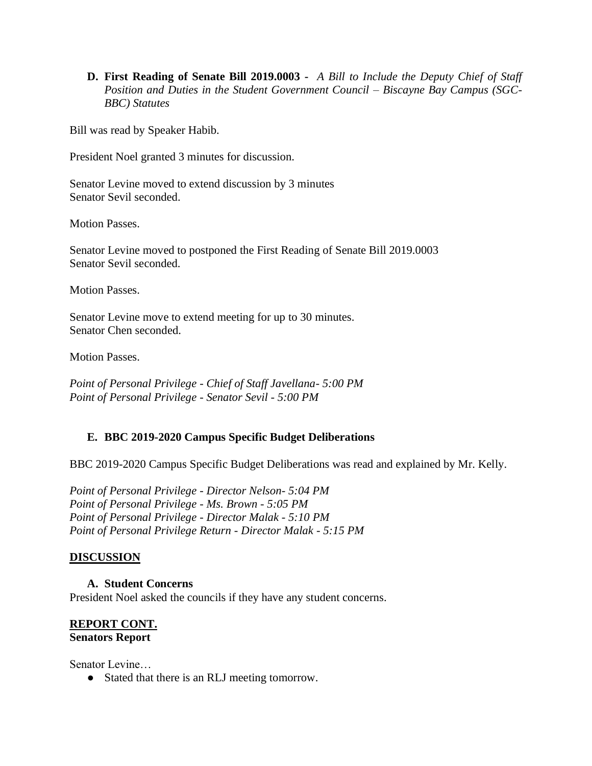**D. First Reading of Senate Bill 2019.0003 -** *A Bill to Include the Deputy Chief of Staff Position and Duties in the Student Government Council – Biscayne Bay Campus (SGC-BBC) Statutes*

Bill was read by Speaker Habib.

President Noel granted 3 minutes for discussion.

Senator Levine moved to extend discussion by 3 minutes Senator Sevil seconded.

Motion Passes.

Senator Levine moved to postponed the First Reading of Senate Bill 2019.0003 Senator Sevil seconded.

Motion Passes.

Senator Levine move to extend meeting for up to 30 minutes. Senator Chen seconded.

Motion Passes.

*Point of Personal Privilege - Chief of Staff Javellana- 5:00 PM Point of Personal Privilege - Senator Sevil - 5:00 PM*

# **E. BBC 2019-2020 Campus Specific Budget Deliberations**

BBC 2019-2020 Campus Specific Budget Deliberations was read and explained by Mr. Kelly.

*Point of Personal Privilege - Director Nelson- 5:04 PM Point of Personal Privilege - Ms. Brown - 5:05 PM Point of Personal Privilege - Director Malak - 5:10 PM Point of Personal Privilege Return - Director Malak - 5:15 PM*

# **DISCUSSION**

**A. Student Concerns** President Noel asked the councils if they have any student concerns.

## **REPORT CONT. Senators Report**

Senator Levine…

● Stated that there is an RLJ meeting tomorrow.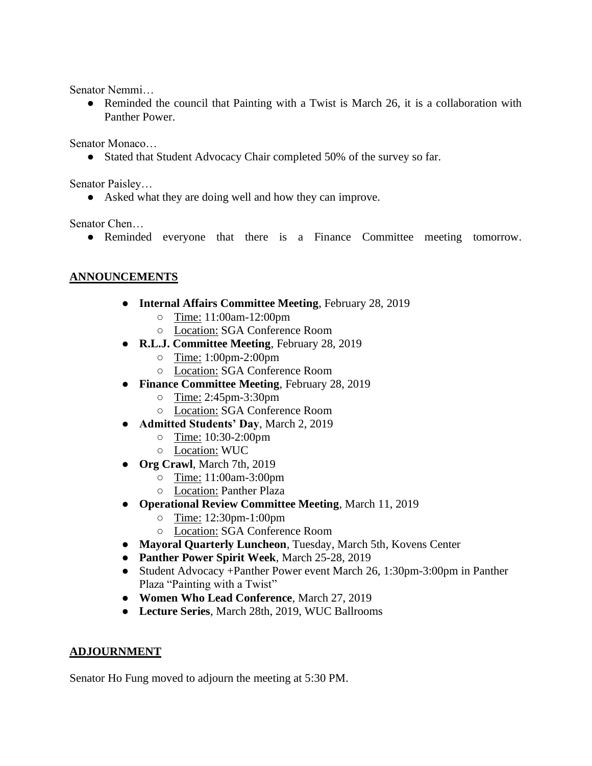Senator Nemmi…

• Reminded the council that Painting with a Twist is March 26, it is a collaboration with Panther Power.

Senator Monaco…

● Stated that Student Advocacy Chair completed 50% of the survey so far.

Senator Paisley…

• Asked what they are doing well and how they can improve.

Senator Chen…

● Reminded everyone that there is a Finance Committee meeting tomorrow.

# **ANNOUNCEMENTS**

- **Internal Affairs Committee Meeting**, February 28, 2019
	- Time: 11:00am-12:00pm
	- Location: SGA Conference Room
- **R.L.J. Committee Meeting**, February 28, 2019
	- Time: 1:00pm-2:00pm
	- Location: SGA Conference Room
- **Finance Committee Meeting**, February 28, 2019
	- Time: 2:45pm-3:30pm
	- Location: SGA Conference Room
- **Admitted Students' Day**, March 2, 2019
	- Time: 10:30-2:00pm
	- Location: WUC
- **Org Crawl**, March 7th, 2019
	- Time: 11:00am-3:00pm
	- Location: Panther Plaza
- **Operational Review Committee Meeting**, March 11, 2019
	- Time: 12:30pm-1:00pm
	- Location: SGA Conference Room
- **Mayoral Quarterly Luncheon**, Tuesday, March 5th, Kovens Center
- **Panther Power Spirit Week**, March 25-28, 2019
- Student Advocacy +Panther Power event March 26, 1:30pm-3:00pm in Panther Plaza "Painting with a Twist"
- **Women Who Lead Conference**, March 27, 2019
- **Lecture Series**, March 28th, 2019, WUC Ballrooms

#### **ADJOURNMENT**

Senator Ho Fung moved to adjourn the meeting at 5:30 PM.